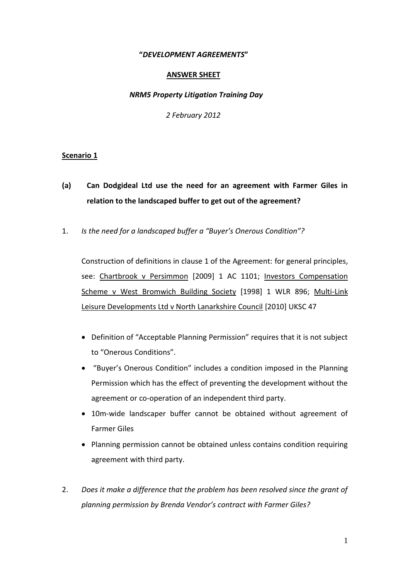## **"***DEVELOPMENT AGREEMENTS***"**

#### **ANSWER SHEET**

#### *NRM5 Property Litigation Training Day*

*2 February 2012*

## **Scenario 1**

- **(a) Can Dodgideal Ltd use the need for an agreement with Farmer Giles in relation to the landscaped buffer to get out of the agreement?**
- 1. *Is the need for a landscaped buffer a "Buyer's Onerous Condition"?*

Construction of definitions in clause 1 of the Agreement: for general principles, see: Chartbrook v Persimmon [2009] 1 AC 1101; Investors Compensation Scheme v West Bromwich Building Society [1998] 1 WLR 896; Multi-Link Leisure Developments Ltd v North Lanarkshire Council [2010] UKSC 47

- Definition of "Acceptable Planning Permission" requires that it is not subject to "Onerous Conditions".
- "Buyer's Onerous Condition" includes a condition imposed in the Planning Permission which has the effect of preventing the development without the agreement or co-operation of an independent third party.
- 10m-wide landscaper buffer cannot be obtained without agreement of Farmer Giles
- Planning permission cannot be obtained unless contains condition requiring agreement with third party.
- 2. *Does it make a difference that the problem has been resolved since the grant of planning permission by Brenda Vendor's contract with Farmer Giles?*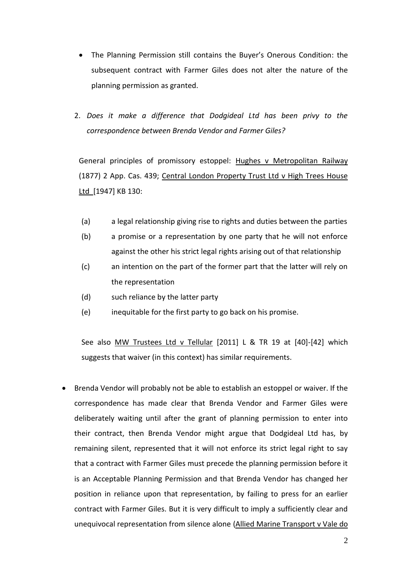- The Planning Permission still contains the Buyer's Onerous Condition: the subsequent contract with Farmer Giles does not alter the nature of the planning permission as granted.
- 2. *Does it make a difference that Dodgideal Ltd has been privy to the correspondence between Brenda Vendor and Farmer Giles?*

General principles of promissory estoppel: Hughes v Metropolitan Railway (1877) 2 App. Cas. 439; Central London Property Trust Ltd v High Trees House Ltd [1947] KB 130:

- (a) a legal relationship giving rise to rights and duties between the parties
- (b) a promise or a representation by one party that he will not enforce against the other his strict legal rights arising out of that relationship
- (c) an intention on the part of the former part that the latter will rely on the representation
- (d) such reliance by the latter party
- (e) inequitable for the first party to go back on his promise.

See also MW Trustees Ltd v Tellular [2011] L & TR 19 at [40]-[42] which suggests that waiver (in this context) has similar requirements.

 Brenda Vendor will probably not be able to establish an estoppel or waiver. If the correspondence has made clear that Brenda Vendor and Farmer Giles were deliberately waiting until after the grant of planning permission to enter into their contract, then Brenda Vendor might argue that Dodgideal Ltd has, by remaining silent, represented that it will not enforce its strict legal right to say that a contract with Farmer Giles must precede the planning permission before it is an Acceptable Planning Permission and that Brenda Vendor has changed her position in reliance upon that representation, by failing to press for an earlier contract with Farmer Giles. But it is very difficult to imply a sufficiently clear and unequivocal representation from silence alone (Allied Marine Transport v Vale do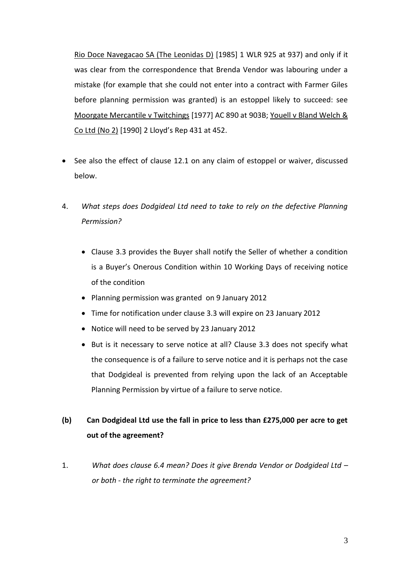Rio Doce Navegacao SA (The Leonidas D) [1985] 1 WLR 925 at 937) and only if it was clear from the correspondence that Brenda Vendor was labouring under a mistake (for example that she could not enter into a contract with Farmer Giles before planning permission was granted) is an estoppel likely to succeed: see Moorgate Mercantile v Twitchings [1977] AC 890 at 903B; Youell v Bland Welch & Co Ltd (No 2) [1990] 2 Lloyd's Rep 431 at 452.

- See also the effect of clause 12.1 on any claim of estoppel or waiver, discussed below.
- 4. *What steps does Dodgideal Ltd need to take to rely on the defective Planning Permission?*
	- Clause 3.3 provides the Buyer shall notify the Seller of whether a condition is a Buyer's Onerous Condition within 10 Working Days of receiving notice of the condition
	- Planning permission was granted on 9 January 2012
	- Time for notification under clause 3.3 will expire on 23 January 2012
	- Notice will need to be served by 23 January 2012
	- But is it necessary to serve notice at all? Clause 3.3 does not specify what the consequence is of a failure to serve notice and it is perhaps not the case that Dodgideal is prevented from relying upon the lack of an Acceptable Planning Permission by virtue of a failure to serve notice.

# **(b) Can Dodgideal Ltd use the fall in price to less than £275,000 per acre to get out of the agreement?**

1. *What does clause 6.4 mean? Does it give Brenda Vendor or Dodgideal Ltd – or both - the right to terminate the agreement?*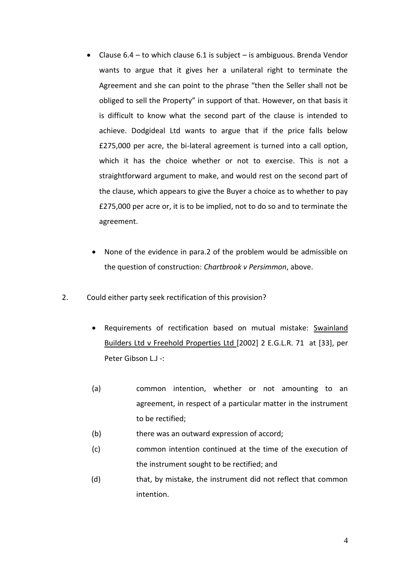- Clause  $6.4$  to which clause  $6.1$  is subject is ambiguous. Brenda Vendor wants to argue that it gives her a unilateral right to terminate the Agreement and she can point to the phrase "then the Seller shall not be obliged to sell the Property" in support of that. However, on that basis it is difficult to know what the second part of the clause is intended to achieve. Dodgideal Ltd wants to argue that if the price falls below £275,000 per acre, the bi-lateral agreement is turned into a call option, which it has the choice whether or not to exercise. This is not a straightforward argument to make, and would rest on the second part of the clause, which appears to give the Buyer a choice as to whether to pay £275,000 per acre or, it is to be implied, not to do so and to terminate the agreement.
	- None of the evidence in para.2 of the problem would be admissible on the question of construction: *Chartbrook v Persimmon*, above.
- 2. Could either party seek rectification of this provision?
	- Requirements of rectification based on mutual mistake: [Swainland](http://login.westlaw.co.uk/app/document?src=doc&linktype=ref&&context=5&crumb-action=replace&docguid=IC6E1EA11E42811DA8FC2A0F0355337E9)  [Builders Ltd v Freehold Properties Ltd \[2002\] 2 E.G.L.R. 71](http://login.westlaw.co.uk/app/document?src=doc&linktype=ref&&context=5&crumb-action=replace&docguid=IC6E1EA11E42811DA8FC2A0F0355337E9) at [33], per Peter Gibson L.J -:
	- (a) common intention, whether or not amounting to an agreement, in respect of a particular matter in the instrument to be rectified;
	- (b) there was an outward expression of accord;
	- (c) common intention continued at the time of the execution of the instrument sought to be rectified; and
	- (d) that, by mistake, the instrument did not reflect that common intention.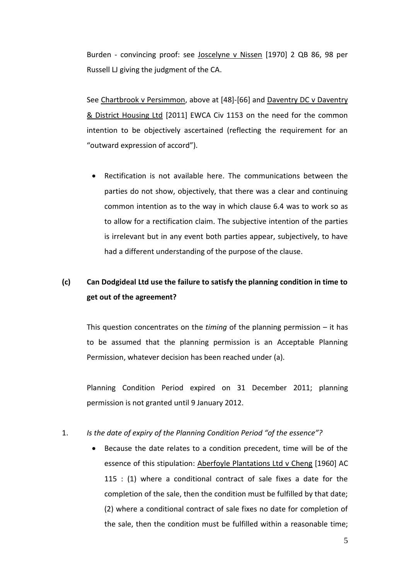Burden - convincing proof: see Joscelyne v Nissen [1970] 2 QB 86, 98 per Russell LJ giving the judgment of the CA.

See Chartbrook v Persimmon, above at [48]-[66] and Daventry DC v Daventry & District Housing Ltd [2011] EWCA Civ 1153 on the need for the common intention to be objectively ascertained (reflecting the requirement for an "outward expression of accord").

 Rectification is not available here. The communications between the parties do not show, objectively, that there was a clear and continuing common intention as to the way in which clause 6.4 was to work so as to allow for a rectification claim. The subjective intention of the parties is irrelevant but in any event both parties appear, subjectively, to have had a different understanding of the purpose of the clause.

# **(c) Can Dodgideal Ltd use the failure to satisfy the planning condition in time to get out of the agreement?**

This question concentrates on the *timing* of the planning permission – it has to be assumed that the planning permission is an Acceptable Planning Permission, whatever decision has been reached under (a).

Planning Condition Period expired on 31 December 2011; planning permission is not granted until 9 January 2012.

## 1. *Is the date of expiry of the Planning Condition Period "of the essence"?*

 Because the date relates to a condition precedent, time will be of the essence of this stipulation: Aberfoyle Plantations Ltd v Cheng [1960] AC 115 : (1) where a conditional contract of sale fixes a date for the completion of the sale, then the condition must be fulfilled by that date; (2) where a conditional contract of sale fixes no date for completion of the sale, then the condition must be fulfilled within a reasonable time;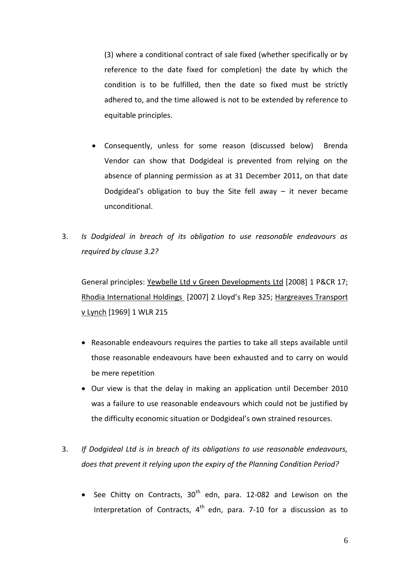(3) where a conditional contract of sale fixed (whether specifically or by reference to the date fixed for completion) the date by which the condition is to be fulfilled, then the date so fixed must be strictly adhered to, and the time allowed is not to be extended by reference to equitable principles.

- Consequently, unless for some reason (discussed below) Brenda Vendor can show that Dodgideal is prevented from relying on the absence of planning permission as at 31 December 2011, on that date Dodgideal's obligation to buy the Site fell away  $-$  it never became unconditional.
- 3. *Is Dodgideal in breach of its obligation to use reasonable endeavours as required by clause 3.2?*

General principles: Yewbelle Ltd v Green Developments Ltd [2008] 1 P&CR 17; Rhodia International Holdings [2007] 2 Lloyd's Rep 325; Hargreaves Transport v Lynch [1969] 1 WLR 215

- Reasonable endeavours requires the parties to take all steps available until those reasonable endeavours have been exhausted and to carry on would be mere repetition
- Our view is that the delay in making an application until December 2010 was a failure to use reasonable endeavours which could not be justified by the difficulty economic situation or Dodgideal's own strained resources.
- 3. *If Dodgideal Ltd is in breach of its obligations to use reasonable endeavours, does that prevent it relying upon the expiry of the Planning Condition Period?*
	- See Chitty on Contracts,  $30<sup>th</sup>$  edn, para. 12-082 and Lewison on the Interpretation of Contracts,  $4<sup>th</sup>$  edn, para. 7-10 for a discussion as to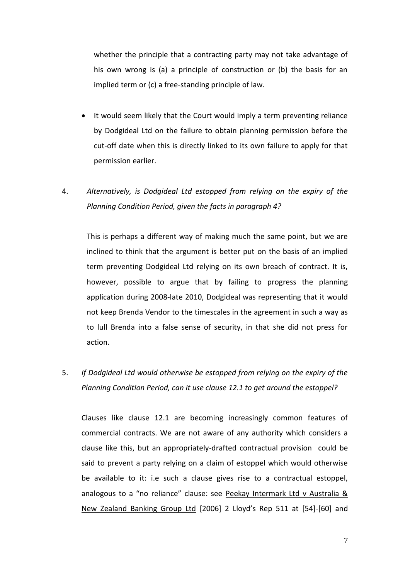whether the principle that a contracting party may not take advantage of his own wrong is (a) a principle of construction or (b) the basis for an implied term or (c) a free-standing principle of law.

- It would seem likely that the Court would imply a term preventing reliance by Dodgideal Ltd on the failure to obtain planning permission before the cut-off date when this is directly linked to its own failure to apply for that permission earlier.
- 4. *Alternatively, is Dodgideal Ltd estopped from relying on the expiry of the Planning Condition Period, given the facts in paragraph 4?*

This is perhaps a different way of making much the same point, but we are inclined to think that the argument is better put on the basis of an implied term preventing Dodgideal Ltd relying on its own breach of contract. It is, however, possible to argue that by failing to progress the planning application during 2008-late 2010, Dodgideal was representing that it would not keep Brenda Vendor to the timescales in the agreement in such a way as to lull Brenda into a false sense of security, in that she did not press for action.

5. *If Dodgideal Ltd would otherwise be estopped from relying on the expiry of the Planning Condition Period, can it use clause 12.1 to get around the estoppel?*

Clauses like clause 12.1 are becoming increasingly common features of commercial contracts. We are not aware of any authority which considers a clause like this, but an appropriately-drafted contractual provision could be said to prevent a party relying on a claim of estoppel which would otherwise be available to it: i.e such a clause gives rise to a contractual estoppel, analogous to a "no reliance" clause: see Peekay Intermark Ltd v Australia & New Zealand Banking Group Ltd [2006] 2 Lloyd's Rep 511 at [54]-[60] and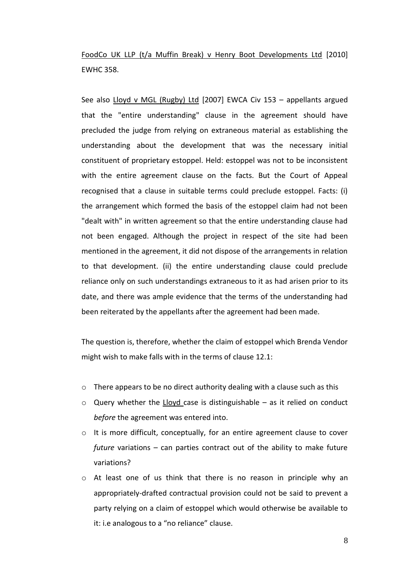FoodCo UK LLP (t/a Muffin Break) v Henry Boot Developments Ltd [2010] EWHC 358.

See also [Lloyd v MGL \(Rugby\) Ltd](http://login.westlaw.co.uk/maf/wluk/app/document?src=doc&linktype=ref&&context=63&crumb-action=replace&docguid=ID39EA9B0C7CF11DBB056B869B7107BA7) [2007] EWCA Civ 153 – appellants argued that the "entire understanding" clause in the agreement should have precluded the judge from relying on extraneous material as establishing the understanding about the development that was the necessary initial constituent of proprietary estoppel. Held: estoppel was not to be inconsistent with the entire agreement clause on the facts. But the Court of Appeal recognised that a clause in suitable terms could preclude estoppel. Facts: (i) the arrangement which formed the basis of the estoppel claim had not been "dealt with" in written agreement so that the entire understanding clause had not been engaged. Although the project in respect of the site had been mentioned in the agreement, it did not dispose of the arrangements in relation to that development. (ii) the entire understanding clause could preclude reliance only on such understandings extraneous to it as had arisen prior to its date, and there was ample evidence that the terms of the understanding had been reiterated by the appellants after the agreement had been made.

The question is, therefore, whether the claim of estoppel which Brenda Vendor might wish to make falls with in the terms of clause 12.1:

- o There appears to be no direct authority dealing with a clause such as this
- $\circ$  Query whether the Lloyd case is distinguishable as it relied on conduct *before* the agreement was entered into.
- $\circ$  It is more difficult, conceptually, for an entire agreement clause to cover *future* variations – can parties contract out of the ability to make future variations?
- $\circ$  At least one of us think that there is no reason in principle why an appropriately-drafted contractual provision could not be said to prevent a party relying on a claim of estoppel which would otherwise be available to it: i.e analogous to a "no reliance" clause.